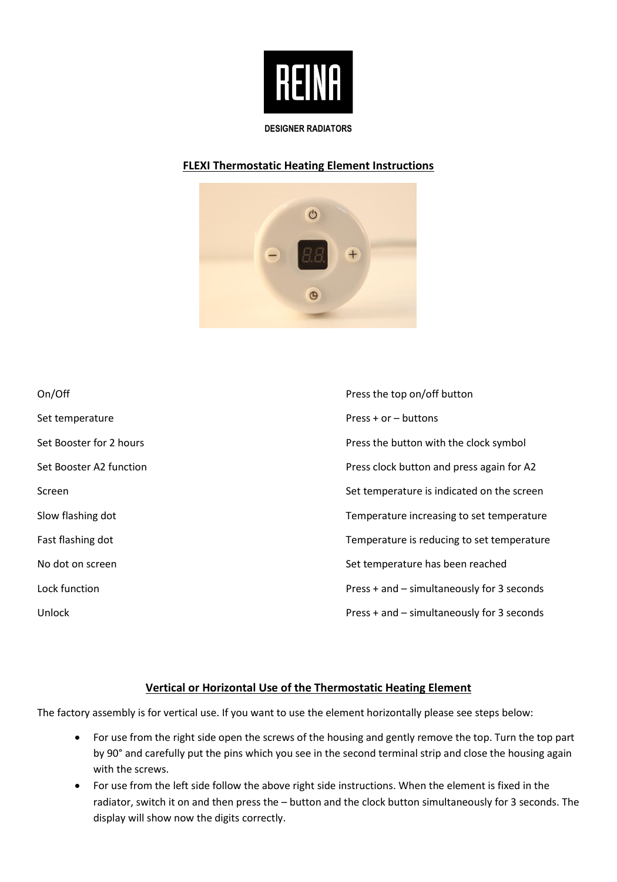

#### **DESIGNER RADIATORS**

## **FLEXI Thermostatic Heating Element Instructions**



| On/Off                  | Press the top on/off button                |
|-------------------------|--------------------------------------------|
| Set temperature         | $Press + or - buttons$                     |
| Set Booster for 2 hours | Press the button with the clock symbol     |
| Set Booster A2 function | Press clock button and press again for A2  |
| Screen                  | Set temperature is indicated on the screen |
| Slow flashing dot       | Temperature increasing to set temperature  |
| Fast flashing dot       | Temperature is reducing to set temperature |
| No dot on screen        | Set temperature has been reached           |
| Lock function           | Press + and - simultaneously for 3 seconds |
| Unlock                  | Press + and - simultaneously for 3 seconds |

### **Vertical or Horizontal Use of the Thermostatic Heating Element**

The factory assembly is for vertical use. If you want to use the element horizontally please see steps below:

- For use from the right side open the screws of the housing and gently remove the top. Turn the top part by 90° and carefully put the pins which you see in the second terminal strip and close the housing again with the screws.
- For use from the left side follow the above right side instructions. When the element is fixed in the radiator, switch it on and then press the – button and the clock button simultaneously for 3 seconds. The display will show now the digits correctly.